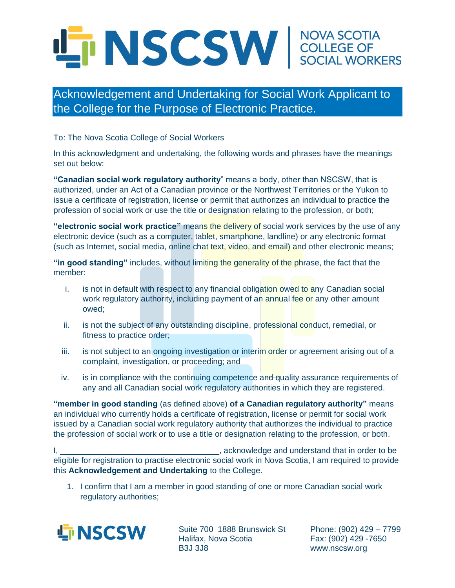## TINSCSW SOCIAL WORKERS

## Acknowledgement and Undertaking for Social Work Applicant to the College for the Purpose of Electronic Practice.

To: The Nova Scotia College of Social Workers

In this acknowledgment and undertaking, the following words and phrases have the meanings set out below:

**"Canadian social work regulatory authority**" means a body, other than NSCSW, that is authorized, under an Act of a Canadian province or the Northwest Territories or the Yukon to issue a certificate of registration, license or permit that authorizes an individual to practice the profession of social work or use the title or designation relating to the profession, or both;

**"electronic social work practice"** means the delivery of social work services by the use of any electronic device (such as a computer, tablet, smartphone, landline) or any electronic format (such as Internet, social media, online chat text, video, and email) and other electronic means;

**"in good standing"** includes, without limiting the generality of the phrase, the fact that the member:

- i. is not in default with respect to any financial obligation owed to any Canadian social work regulatory authority, including payment of an annual fee or any other amount owed;
- ii. is not the subject of any outstanding discipline, professional conduct, remedial, or fitness to practice order;
- iii. is not subject to an ongoing investigation or interim order or agreement arising out of a complaint, investigation, or proceeding; and
- iv. is in compliance with the continuing competence and quality assurance requirements of any and all Canadian social work regulatory authorities in which they are registered.

**"member in good standing** (as defined above) **of a Canadian regulatory authority"** means an individual who currently holds a certificate of registration, license or permit for social work issued by a Canadian social work regulatory authority that authorizes the individual to practice the profession of social work or to use a title or designation relating to the profession, or both.

I, \_\_\_\_\_\_\_\_\_\_\_\_\_\_\_\_\_\_\_\_\_\_\_\_\_\_\_\_\_\_\_\_\_\_\_, acknowledge and understand that in order to be eligible for registration to practise electronic social work in Nova Scotia, I am required to provide this **Acknowledgement and Undertaking** to the College.

1. I confirm that I am a member in good standing of one or more Canadian social work regulatory authorities;



Suite 700 1888 Brunswick St Halifax, Nova Scotia B3J 3J8

Phone: (902) 429 – 7799 Fax: (902) 429 -7650 www.nscsw.org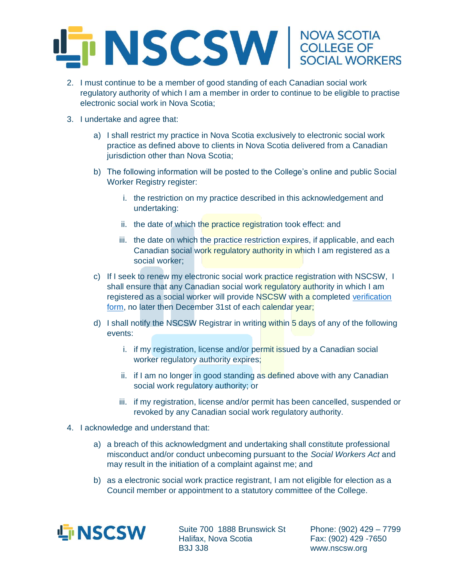

- 2. I must continue to be a member of good standing of each Canadian social work regulatory authority of which I am a member in order to continue to be eligible to practise electronic social work in Nova Scotia;
- 3. I undertake and agree that:
	- a) I shall restrict my practice in Nova Scotia exclusively to electronic social work practice as defined above to clients in Nova Scotia delivered from a Canadian jurisdiction other than Nova Scotia;
	- b) The following information will be posted to the College's online and public Social Worker Registry register:
		- i. the restriction on my practice described in this acknowledgement and undertaking:
		- ii. the date of which the practice registration took effect: and
		- iii. the date on which the practice restriction expires, if applicable, and each Canadian social work regulatory authority in which I am registered as a social worker;
	- c) If I seek to renew my electronic social work practice registration with NSCSW, I shall ensure that any Canadian social work regulatory authority in which I am registered as a social worker will provide NSCSW with a completed [verification](https://nscsw.org/wp-content/uploads/2020/10/Transfer-Jurisdiction-Verification-Form.pdf)  [form,](https://nscsw.org/wp-content/uploads/2020/10/Transfer-Jurisdiction-Verification-Form.pdf) no later then December 31st of each calendar year;
	- d) I shall notify the NSCSW Registrar in writing within 5 days of any of the following events:
		- i. if my registration, license and/or permit issued by a Canadian social worker regulatory authority expires;
		- ii. if I am no longer in good standing as defined above with any Canadian social work regulatory authority; or
		- iii. if my registration, license and/or permit has been cancelled, suspended or revoked by any Canadian social work regulatory authority.
- 4. I acknowledge and understand that:
	- a) a breach of this acknowledgment and undertaking shall constitute professional misconduct and/or conduct unbecoming pursuant to the *Social Workers Act* and may result in the initiation of a complaint against me; and
	- b) as a electronic social work practice registrant, I am not eligible for election as a Council member or appointment to a statutory committee of the College.



Suite 700 1888 Brunswick St Halifax, Nova Scotia B3J 3J8

Phone: (902) 429 – 7799 Fax: (902) 429 -7650 www.nscsw.org